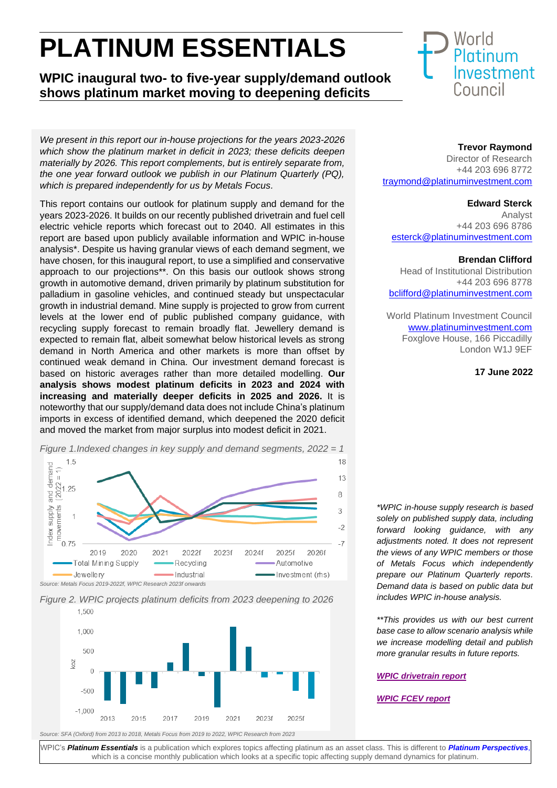# **PLATINUM ESSENTIALS**

**WPIC inaugural two- to five-year supply/demand outlook shows platinum market moving to deepening deficits**

*We present in this report our in-house projections for the years 2023-2026 which show the platinum market in deficit in 2023; these deficits deepen materially by 2026. This report complements, but is entirely separate from, the one year forward outlook we publish in our Platinum Quarterly (PQ), which is prepared independently for us by Metals Focus.*

This report contains our outlook for platinum supply and demand for the years 2023-2026. It builds on our recently published drivetrain and fuel cell electric vehicle reports which forecast out to 2040. All estimates in this report are based upon publicly available information and WPIC in-house analysis\*. Despite us having granular views of each demand segment, we have chosen, for this inaugural report, to use a simplified and conservative approach to our projections\*\*. On this basis our outlook shows strong growth in automotive demand, driven primarily by platinum substitution for palladium in gasoline vehicles, and continued steady but unspectacular growth in industrial demand. Mine supply is projected to grow from current levels at the lower end of public published company guidance, with recycling supply forecast to remain broadly flat. Jewellery demand is expected to remain flat, albeit somewhat below historical levels as strong demand in North America and other markets is more than offset by continued weak demand in China. Our investment demand forecast is based on historic averages rather than more detailed modelling. **Our analysis shows modest platinum deficits in 2023 and 2024 with increasing and materially deeper deficits in 2025 and 2026.** It is noteworthy that our supply/demand data does not include China's platinum imports in excess of identified demand, which deepened the 2020 deficit and moved the market from major surplus into modest deficit in 2021.









## **Trevor Raymond**

Director of Research +44 203 696 8772 [traymond@platinuminvestment.com](mailto:traymond@platinuminvestment.com)

## **Edward Sterck**

Analyst +44 203 696 8786 [esterck@platinumi](mailto:dwilson@platinuminvestment.com)nvestment.com

### **Brendan Clifford**

Head of Institutional Distribution +44 203 696 8778 [bclifford@platinuminvestment.com](mailto:bclifford@platinuminvestment.com)

World Platinum Investment Council [www.platinuminvestment.com](http://www.platinuminvestment.com/) Foxglove House, 166 Piccadilly London W1J 9EF

### **17 June 2022**

*\*WPIC in-house supply research is based solely on published supply data, including forward looking guidance, with any adjustments noted. It does not represent the views of any WPIC members or those of Metals Focus which independently prepare our Platinum Quarterly reports. Demand data is based on public data but includes WPIC in-house analysis.*

*\*\*This provides us with our best current base case to allow scenario analysis while we increase modelling detail and publish more granular results in future reports.*

## *[WPIC drivetrain report](https://platinuminvestment.com/files/847446/WPIC_Platinum_Essentials_June_2022.pdf)*

## *[WPIC FCEV report](https://platinuminvestment.com/files/438859/WPIC_Platinum_Essentials_March_2022%20(Potential%20FCEV%20demand).pdf)*

WPIC's *[Platinum Essentials](https://platinuminvestment.com/investment-research)* is a publication which explores topics affecting platinum as an asset class. This is different to *[Platinum Perspectives](https://platinuminvestment.com/investment-research/perspectives)*, which is a concise monthly publication which looks at a specific topic affecting supply demand dynamics for platinum.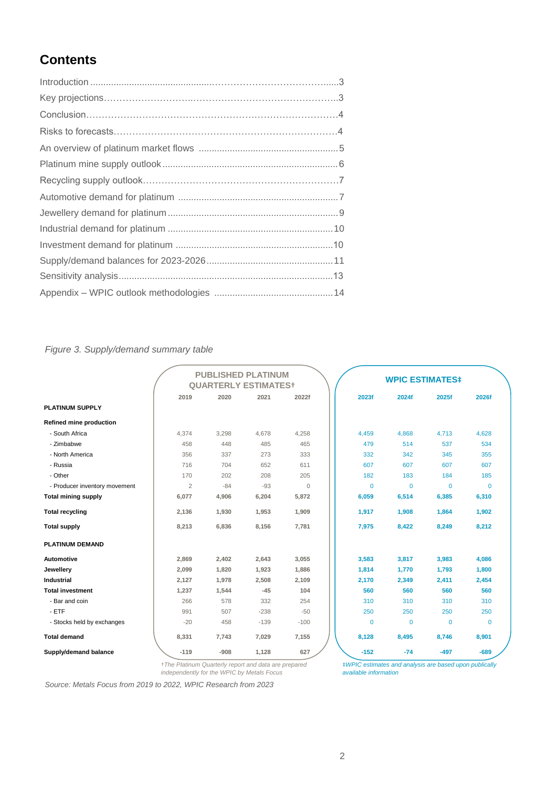# **Contents**

## *Figure 3. Supply/demand summary table*

|                                |                             | <b>PUBLISHED PLATINUM</b> |        |          |  |             |                        |              |          |  |
|--------------------------------|-----------------------------|---------------------------|--------|----------|--|-------------|------------------------|--------------|----------|--|
|                                | <b>QUARTERLY ESTIMATEST</b> |                           |        |          |  |             | <b>WPIC ESTIMATES#</b> |              |          |  |
|                                | 2019                        | 2020                      | 2021   | 2022f    |  | 2023f       | 2024f                  | 2025f        | 2026f    |  |
| <b>PLATINUM SUPPLY</b>         |                             |                           |        |          |  |             |                        |              |          |  |
| <b>Refined mine production</b> |                             |                           |        |          |  |             |                        |              |          |  |
| - South Africa                 | 4,374                       | 3,298                     | 4,678  | 4,258    |  | 4.459       | 4.868                  | 4,713        | 4.628    |  |
| - Zimbabwe                     | 458                         | 448                       | 485    | 465      |  | 479         | 514                    | 537          | 534      |  |
| - North America                | 356                         | 337                       | 273    | 333      |  | 332         | 342                    | 345          | 355      |  |
| - Russia                       | 716                         | 704                       | 652    | 611      |  | 607         | 607                    | 607          | 607      |  |
| - Other                        | 170                         | 202                       | 208    | 205      |  | 182         | 183                    | 184          | 185      |  |
| - Producer inventory movement  | $\overline{2}$              | $-84$                     | $-93$  | $\Omega$ |  | $\Omega$    | $\Omega$               | $\Omega$     | $\Omega$ |  |
| <b>Total mining supply</b>     | 6,077                       | 4,906                     | 6,204  | 5,872    |  | 6,059       | 6,514                  | 6,385        | 6,310    |  |
| <b>Total recycling</b>         | 2,136                       | 1,930                     | 1,953  | 1,909    |  | 1,917       | 1,908                  | 1,864        | 1,902    |  |
| <b>Total supply</b>            | 8,213                       | 6,836                     | 8,156  | 7,781    |  | 7,975       | 8,422                  | 8,249        | 8,212    |  |
| <b>PLATINUM DEMAND</b>         |                             |                           |        |          |  |             |                        |              |          |  |
| <b>Automotive</b>              | 2,869                       | 2,402                     | 2,643  | 3,055    |  | 3,583       | 3,817                  | 3,983        | 4,086    |  |
| Jewellery                      | 2,099                       | 1,820                     | 1,923  | 1,886    |  | 1,814       | 1,770                  | 1,793        | 1,800    |  |
| <b>Industrial</b>              | 2,127                       | 1,978                     | 2,508  | 2,109    |  | 2,170       | 2,349                  | 2,411        | 2,454    |  |
| <b>Total investment</b>        | 1,237                       | 1,544                     | $-45$  | 104      |  | 560         | 560                    | 560          | 560      |  |
| - Bar and coin                 | 266                         | 578                       | 332    | 254      |  | 310         | 310                    | 310          | 310      |  |
| $-ETF$                         | 991                         | 507                       | $-238$ | $-50$    |  | 250         | 250                    | 250          | 250      |  |
| - Stocks held by exchanges     | $-20$                       | 458                       | $-139$ | $-100$   |  | $\mathbf 0$ | $\mathbf 0$            | $\mathbf{0}$ | $\Omega$ |  |
| <b>Total demand</b>            | 8,331                       | 7,743                     | 7,029  | 7,155    |  | 8,128       | 8,495                  | 8,746        | 8,901    |  |
| Supply/demand balance          | $-119$                      | $-908$                    | 1,128  | 627      |  | $-152$      | $-74$                  | $-497$       | $-689$   |  |

†*The Platinum Quarterly report and data are prepared independently for the WPIC by Metals Focus*

*Source: Metals Focus from 2019 to 2022, WPIC Research from 2023*

‡*WPIC estimates and analysis are based upon publically available information*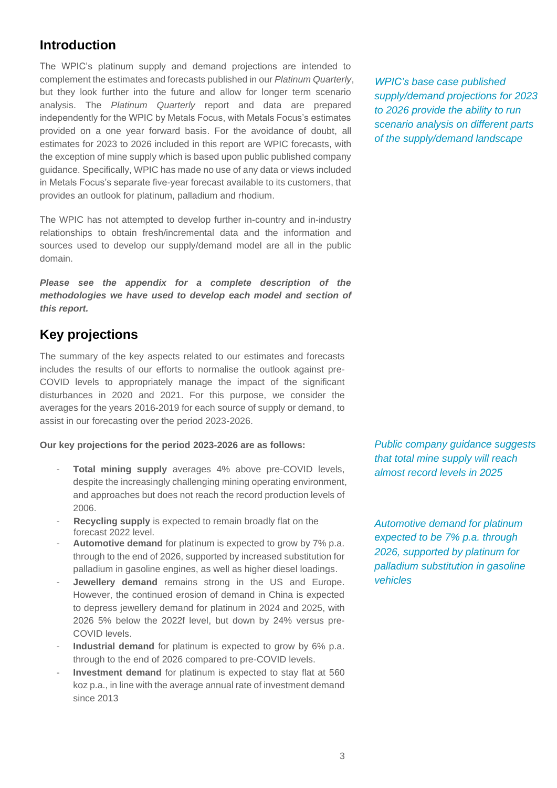# **Introduction**

The WPIC's platinum supply and demand projections are intended to complement the estimates and forecasts published in our *Platinum Quarterly*, but they look further into the future and allow for longer term scenario analysis. The *Platinum Quarterly* report and data are prepared independently for the WPIC by Metals Focus, with Metals Focus's estimates provided on a one year forward basis. For the avoidance of doubt, all estimates for 2023 to 2026 included in this report are WPIC forecasts, with the exception of mine supply which is based upon public published company guidance. Specifically, WPIC has made no use of any data or views included in Metals Focus's separate five-year forecast available to its customers, that provides an outlook for platinum, palladium and rhodium.

The WPIC has not attempted to develop further in-country and in-industry relationships to obtain fresh/incremental data and the information and sources used to develop our supply/demand model are all in the public domain.

*Please see the appendix for a complete description of the methodologies we have used to develop each model and section of this report.*

# **Key projections**

The summary of the key aspects related to our estimates and forecasts includes the results of our efforts to normalise the outlook against pre-COVID levels to appropriately manage the impact of the significant disturbances in 2020 and 2021. For this purpose, we consider the averages for the years 2016-2019 for each source of supply or demand, to assist in our forecasting over the period 2023-2026.

#### **Our key projections for the period 2023-2026 are as follows:**

- **Total mining supply** averages 4% above pre-COVID levels, despite the increasingly challenging mining operating environment, and approaches but does not reach the record production levels of 2006.
- **Recycling supply** is expected to remain broadly flat on the forecast 2022 level.
- Automotive demand for platinum is expected to grow by 7% p.a. through to the end of 2026, supported by increased substitution for palladium in gasoline engines, as well as higher diesel loadings.
- **Jewellery demand** remains strong in the US and Europe. However, the continued erosion of demand in China is expected to depress jewellery demand for platinum in 2024 and 2025, with 2026 5% below the 2022f level, but down by 24% versus pre-COVID levels.
- Industrial demand for platinum is expected to grow by 6% p.a. through to the end of 2026 compared to pre-COVID levels.
- **Investment demand** for platinum is expected to stay flat at 560 koz p.a., in line with the average annual rate of investment demand since 2013

*WPIC's base case published supply/demand projections for 2023 to 2026 provide the ability to run scenario analysis on different parts of the supply/demand landscape*

*Public company guidance suggests that total mine supply will reach almost record levels in 2025*

*Automotive demand for platinum expected to be 7% p.a. through 2026, supported by platinum for palladium substitution in gasoline vehicles*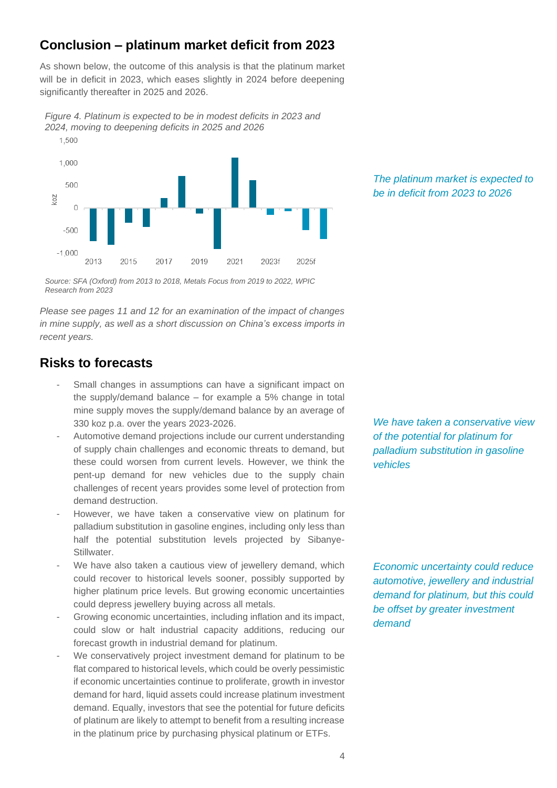# **Conclusion – platinum market deficit from 2023**

As shown below, the outcome of this analysis is that the platinum market will be in deficit in 2023, which eases slightly in 2024 before deepening significantly thereafter in 2025 and 2026.

*Figure 4. Platinum is expected to be in modest deficits in 2023 and 2024, moving to deepening deficits in 2025 and 2026*



*Source: SFA (Oxford) from 2013 to 2018, Metals Focus from 2019 to 2022, WPIC Research from 2023*

*Please see pages 11 and 12 for an examination of the impact of changes in mine supply, as well as a short discussion on China's excess imports in recent years.*

# **Risks to forecasts**

- Small changes in assumptions can have a significant impact on the supply/demand balance – for example a 5% change in total mine supply moves the supply/demand balance by an average of 330 koz p.a. over the years 2023-2026.
- Automotive demand projections include our current understanding of supply chain challenges and economic threats to demand, but these could worsen from current levels. However, we think the pent-up demand for new vehicles due to the supply chain challenges of recent years provides some level of protection from demand destruction.
- However, we have taken a conservative view on platinum for palladium substitution in gasoline engines, including only less than half the potential substitution levels projected by Sibanye-Stillwater.
- We have also taken a cautious view of jewellery demand, which could recover to historical levels sooner, possibly supported by higher platinum price levels. But growing economic uncertainties could depress jewellery buying across all metals.
- Growing economic uncertainties, including inflation and its impact, could slow or halt industrial capacity additions, reducing our forecast growth in industrial demand for platinum.
- We conservatively project investment demand for platinum to be flat compared to historical levels, which could be overly pessimistic if economic uncertainties continue to proliferate, growth in investor demand for hard, liquid assets could increase platinum investment demand. Equally, investors that see the potential for future deficits of platinum are likely to attempt to benefit from a resulting increase in the platinum price by purchasing physical platinum or ETFs.

*The platinum market is expected to be in deficit from 2023 to 2026*

*We have taken a conservative view of the potential for platinum for palladium substitution in gasoline vehicles*

*Economic uncertainty could reduce automotive, jewellery and industrial demand for platinum, but this could be offset by greater investment demand*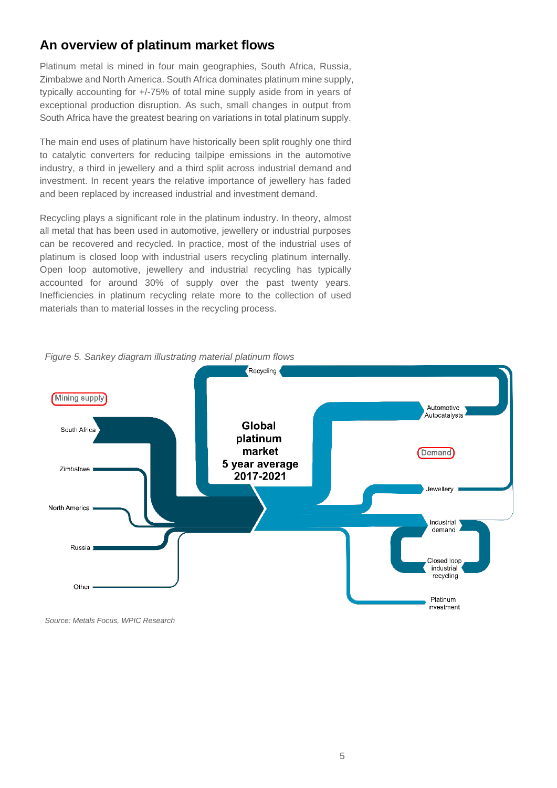# **An overview of platinum market flows**

Platinum metal is mined in four main geographies, South Africa, Russia, Zimbabwe and North America. South Africa dominates platinum mine supply, typically accounting for +/-75% of total mine supply aside from in years of exceptional production disruption. As such, small changes in output from South Africa have the greatest bearing on variations in total platinum supply.

The main end uses of platinum have historically been split roughly one third to catalytic converters for reducing tailpipe emissions in the automotive industry, a third in jewellery and a third split across industrial demand and investment. In recent years the relative importance of jewellery has faded and been replaced by increased industrial and investment demand.

Recycling plays a significant role in the platinum industry. In theory, almost all metal that has been used in automotive, jewellery or industrial purposes can be recovered and recycled. In practice, most of the industrial uses of platinum is closed loop with industrial users recycling platinum internally. Open loop automotive, jewellery and industrial recycling has typically accounted for around 30% of supply over the past twenty years. Inefficiencies in platinum recycling relate more to the collection of used materials than to material losses in the recycling process.



*Figure 5. Sankey diagram illustrating material platinum flows*

*Source: Metals Focus, WPIC Research*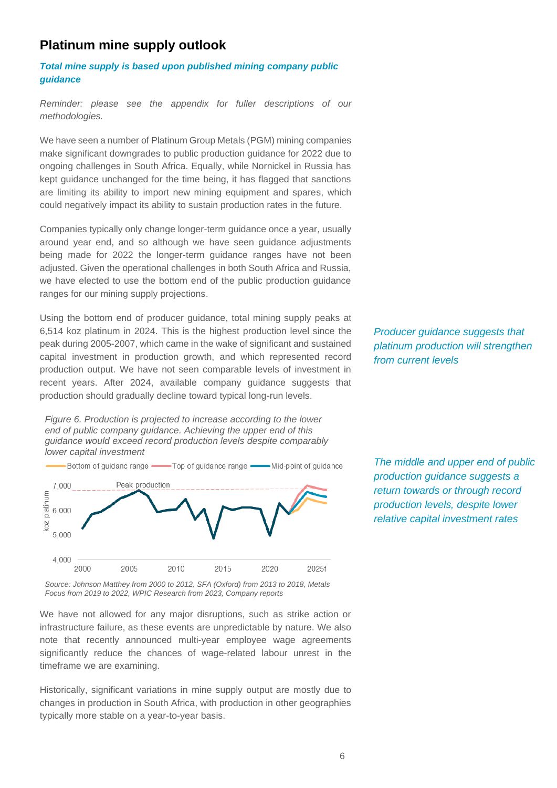# **Platinum mine supply outlook**

*Total mine supply is based upon published mining company public guidance*

*Reminder: please see the appendix for fuller descriptions of our methodologies.*

We have seen a number of Platinum Group Metals (PGM) mining companies make significant downgrades to public production guidance for 2022 due to ongoing challenges in South Africa. Equally, while Nornickel in Russia has kept guidance unchanged for the time being, it has flagged that sanctions are limiting its ability to import new mining equipment and spares, which could negatively impact its ability to sustain production rates in the future.

Companies typically only change longer-term guidance once a year, usually around year end, and so although we have seen guidance adjustments being made for 2022 the longer-term guidance ranges have not been adjusted. Given the operational challenges in both South Africa and Russia, we have elected to use the bottom end of the public production guidance ranges for our mining supply projections.

Using the bottom end of producer guidance, total mining supply peaks at 6,514 koz platinum in 2024. This is the highest production level since the peak during 2005-2007, which came in the wake of significant and sustained capital investment in production growth, and which represented record production output. We have not seen comparable levels of investment in recent years. After 2024, available company guidance suggests that production should gradually decline toward typical long-run levels.

*Figure 6. Production is projected to increase according to the lower end of public company guidance. Achieving the upper end of this guidance would exceed record production levels despite comparably lower capital investment*



*Source: Johnson Matthey from 2000 to 2012, SFA (Oxford) from 2013 to 2018, Metals Focus from 2019 to 2022, WPIC Research from 2023, Company reports*

We have not allowed for any major disruptions, such as strike action or infrastructure failure, as these events are unpredictable by nature. We also note that recently announced multi-year employee wage agreements significantly reduce the chances of wage-related labour unrest in the timeframe we are examining.

Historically, significant variations in mine supply output are mostly due to changes in production in South Africa, with production in other geographies typically more stable on a year-to-year basis.

*Producer guidance suggests that platinum production will strengthen from current levels*

*The middle and upper end of public production guidance suggests a return towards or through record production levels, despite lower relative capital investment rates*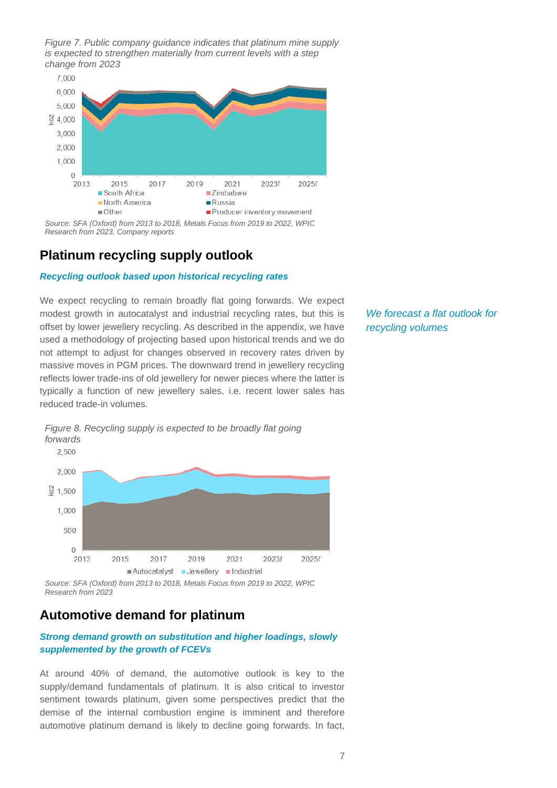*Figure 7. Public company guidance indicates that platinum mine supply is expected to strengthen materially from current levels with a step change from 2023*



*Source: SFA (Oxford) from 2013 to 2018, Metals Focus from 2019 to 2022, WPIC Research from 2023, Company reports*

# **Platinum recycling supply outlook**

#### *Recycling outlook based upon historical recycling rates*

We expect recycling to remain broadly flat going forwards. We expect modest growth in autocatalyst and industrial recycling rates, but this is offset by lower jewellery recycling. As described in the appendix, we have used a methodology of projecting based upon historical trends and we do not attempt to adjust for changes observed in recovery rates driven by massive moves in PGM prices. The downward trend in jewellery recycling reflects lower trade-ins of old jewellery for newer pieces where the latter is typically a function of new jewellery sales, i.e. recent lower sales has reduced trade-in volumes.

*We forecast a flat outlook for recycling volumes*



*Figure 8. Recycling supply is expected to be broadly flat going forwards*

# **Automotive demand for platinum**

#### *Strong demand growth on substitution and higher loadings, slowly supplemented by the growth of FCEVs*

At around 40% of demand, the automotive outlook is key to the supply/demand fundamentals of platinum. It is also critical to investor sentiment towards platinum, given some perspectives predict that the demise of the internal combustion engine is imminent and therefore automotive platinum demand is likely to decline going forwards. In fact,

*Source: SFA (Oxford) from 2013 to 2018, Metals Focus from 2019 to 2022, WPIC Research from 2023*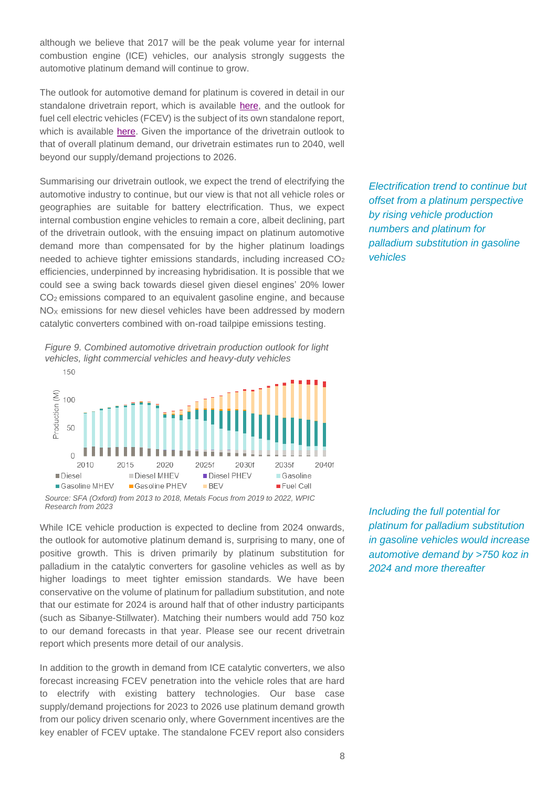although we believe that 2017 will be the peak volume year for internal combustion engine (ICE) vehicles, our analysis strongly suggests the automotive platinum demand will continue to grow.

The outlook for automotive demand for platinum is covered in detail in our standalone drivetrain report, which is available [here,](https://platinuminvestment.com/files/847445/WPIC_Platinum_Essentials_June_2022.pdf) and the outlook for fuel cell electric vehicles (FCEV) is the subject of its own standalone report, which is available [here.](https://platinuminvestment.com/files/438859/WPIC_Platinum_Essentials_March_2022%20(Potential%20FCEV%20demand).pdf) Given the importance of the drivetrain outlook to that of overall platinum demand, our drivetrain estimates run to 2040, well beyond our supply/demand projections to 2026.

Summarising our drivetrain outlook, we expect the trend of electrifying the automotive industry to continue, but our view is that not all vehicle roles or geographies are suitable for battery electrification. Thus, we expect internal combustion engine vehicles to remain a core, albeit declining, part of the drivetrain outlook, with the ensuing impact on platinum automotive demand more than compensated for by the higher platinum loadings needed to achieve tighter emissions standards, including increased CO<sub>2</sub> efficiencies, underpinned by increasing hybridisation. It is possible that we could see a swing back towards diesel given diesel engines' 20% lower CO2 emissions compared to an equivalent gasoline engine, and because NO<sub>x</sub> emissions for new diesel vehicles have been addressed by modern catalytic converters combined with on-road tailpipe emissions testing.





*Source: SFA (Oxford) from 2013 to 2018, Metals Focus from 2019 to 2022, WPIC Research from 2023*

While ICE vehicle production is expected to decline from 2024 onwards, the outlook for automotive platinum demand is, surprising to many, one of positive growth. This is driven primarily by platinum substitution for palladium in the catalytic converters for gasoline vehicles as well as by higher loadings to meet tighter emission standards. We have been conservative on the volume of platinum for palladium substitution, and note that our estimate for 2024 is around half that of other industry participants (such as Sibanye-Stillwater). Matching their numbers would add 750 koz to our demand forecasts in that year. Please see our recent drivetrain report which presents more detail of our analysis.

In addition to the growth in demand from ICE catalytic converters, we also forecast increasing FCEV penetration into the vehicle roles that are hard to electrify with existing battery technologies. Our base case supply/demand projections for 2023 to 2026 use platinum demand growth from our policy driven scenario only, where Government incentives are the key enabler of FCEV uptake. The standalone FCEV report also considers *Electrification trend to continue but offset from a platinum perspective by rising vehicle production numbers and platinum for palladium substitution in gasoline vehicles*

*Including the full potential for platinum for palladium substitution in gasoline vehicles would increase automotive demand by >750 koz in 2024 and more thereafter*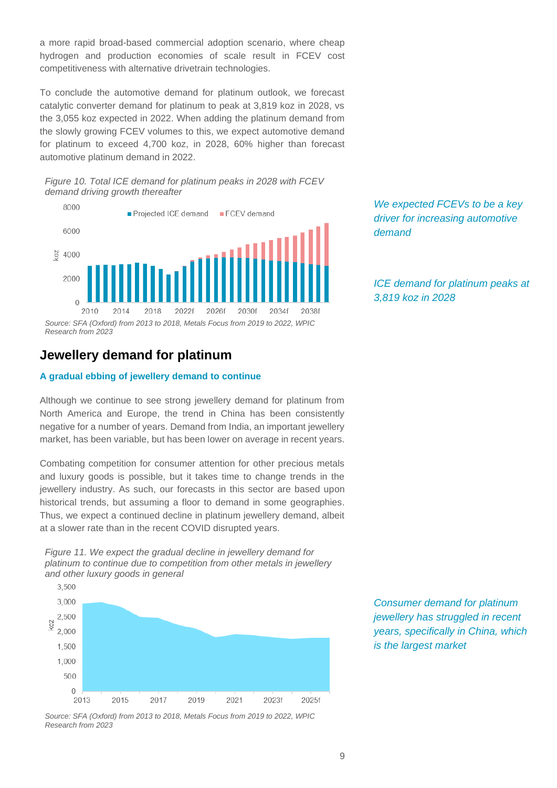a more rapid broad-based commercial adoption scenario, where cheap hydrogen and production economies of scale result in FCEV cost competitiveness with alternative drivetrain technologies.

To conclude the automotive demand for platinum outlook, we forecast catalytic converter demand for platinum to peak at 3,819 koz in 2028, vs the 3,055 koz expected in 2022. When adding the platinum demand from the slowly growing FCEV volumes to this, we expect automotive demand for platinum to exceed 4,700 koz, in 2028, 60% higher than forecast automotive platinum demand in 2022.

*Figure 10. Total ICE demand for platinum peaks in 2028 with FCEV demand driving growth thereafter*



# **Jewellery demand for platinum**

#### **A gradual ebbing of jewellery demand to continue**

Although we continue to see strong jewellery demand for platinum from North America and Europe, the trend in China has been consistently negative for a number of years. Demand from India, an important jewellery market, has been variable, but has been lower on average in recent years.

Combating competition for consumer attention for other precious metals and luxury goods is possible, but it takes time to change trends in the jewellery industry. As such, our forecasts in this sector are based upon historical trends, but assuming a floor to demand in some geographies. Thus, we expect a continued decline in platinum jewellery demand, albeit at a slower rate than in the recent COVID disrupted years.





*Source: SFA (Oxford) from 2013 to 2018, Metals Focus from 2019 to 2022, WPIC Research from 2023*

*We expected FCEVs to be a key driver for increasing automotive demand*

*ICE demand for platinum peaks at 3,819 koz in 2028*

*Consumer demand for platinum jewellery has struggled in recent years, specifically in China, which is the largest market*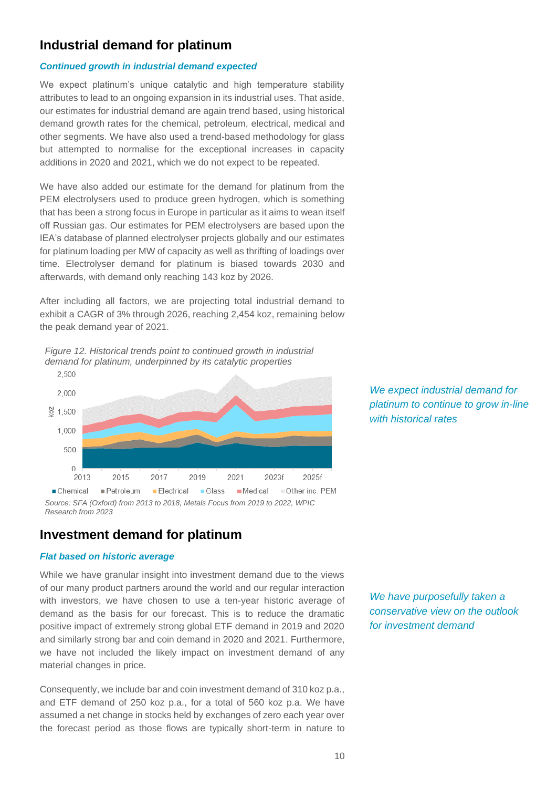# **Industrial demand for platinum**

#### *Continued growth in industrial demand expected*

We expect platinum's unique catalytic and high temperature stability attributes to lead to an ongoing expansion in its industrial uses. That aside, our estimates for industrial demand are again trend based, using historical demand growth rates for the chemical, petroleum, electrical, medical and other segments. We have also used a trend-based methodology for glass but attempted to normalise for the exceptional increases in capacity additions in 2020 and 2021, which we do not expect to be repeated.

We have also added our estimate for the demand for platinum from the PEM electrolysers used to produce green hydrogen, which is something that has been a strong focus in Europe in particular as it aims to wean itself off Russian gas. Our estimates for PEM electrolysers are based upon the IEA's database of planned electrolyser projects globally and our estimates for platinum loading per MW of capacity as well as thrifting of loadings over time. Electrolyser demand for platinum is biased towards 2030 and afterwards, with demand only reaching 143 koz by 2026.

After including all factors, we are projecting total industrial demand to exhibit a CAGR of 3% through 2026, reaching 2,454 koz, remaining below the peak demand year of 2021.

*Figure 12. Historical trends point to continued growth in industrial demand for platinum, underpinned by its catalytic properties*



*Source: SFA (Oxford) from 2013 to 2018, Metals Focus from 2019 to 2022, WPIC Research from 2023*

# **Investment demand for platinum**

#### *Flat based on historic average*

While we have granular insight into investment demand due to the views of our many product partners around the world and our regular interaction with investors, we have chosen to use a ten-year historic average of demand as the basis for our forecast. This is to reduce the dramatic positive impact of extremely strong global ETF demand in 2019 and 2020 and similarly strong bar and coin demand in 2020 and 2021. Furthermore, we have not included the likely impact on investment demand of any material changes in price.

Consequently, we include bar and coin investment demand of 310 koz p.a., and ETF demand of 250 koz p.a., for a total of 560 koz p.a. We have assumed a net change in stocks held by exchanges of zero each year over the forecast period as those flows are typically short-term in nature to

*We expect industrial demand for platinum to continue to grow in-line with historical rates*

*We have purposefully taken a conservative view on the outlook for investment demand*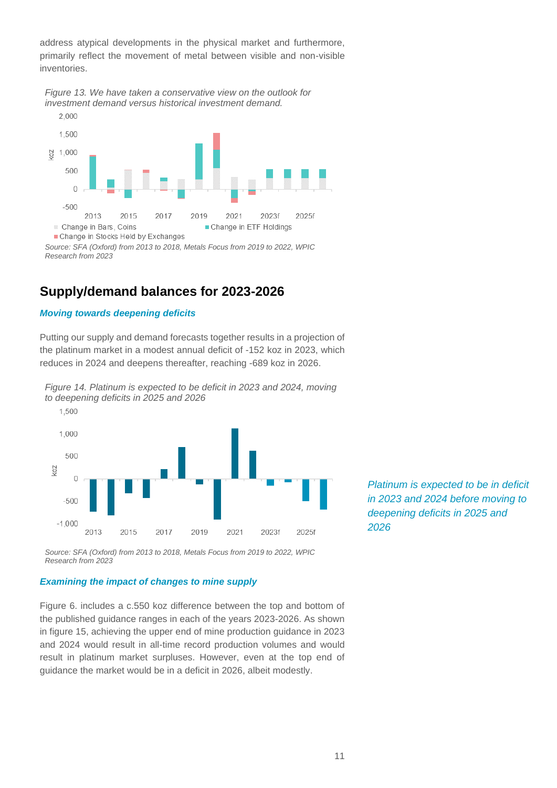address atypical developments in the physical market and furthermore, primarily reflect the movement of metal between visible and non-visible inventories.

*Figure 13. We have taken a conservative view on the outlook for investment demand versus historical investment demand.*



*Source: SFA (Oxford) from 2013 to 2018, Metals Focus from 2019 to 2022, WPIC Research from 2023*

# **Supply/demand balances for 2023-2026**

#### *Moving towards deepening deficits*

Putting our supply and demand forecasts together results in a projection of the platinum market in a modest annual deficit of -152 koz in 2023, which reduces in 2024 and deepens thereafter, reaching -689 koz in 2026.



*Figure 14. Platinum is expected to be deficit in 2023 and 2024, moving to deepening deficits in 2025 and 2026*

*Source: SFA (Oxford) from 2013 to 2018, Metals Focus from 2019 to 2022, WPIC Research from 2023*

#### *Examining the impact of changes to mine supply*

Figure 6. includes a c.550 koz difference between the top and bottom of the published guidance ranges in each of the years 2023-2026. As shown in figure 15, achieving the upper end of mine production guidance in 2023 and 2024 would result in all-time record production volumes and would result in platinum market surpluses. However, even at the top end of guidance the market would be in a deficit in 2026, albeit modestly.

*Platinum is expected to be in deficit in 2023 and 2024 before moving to deepening deficits in 2025 and 2026*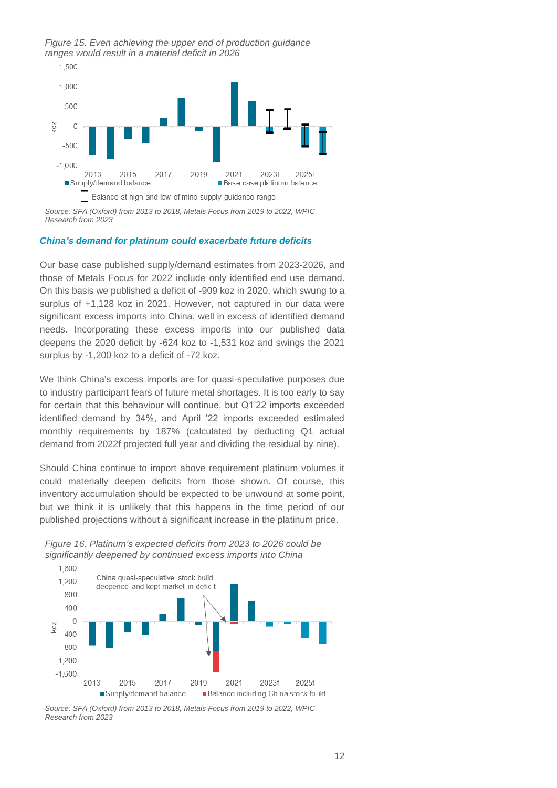*Figure 15. Even achieving the upper end of production guidance ranges would result in a material deficit in 2026*



*Source: SFA (Oxford) from 2013 to 2018, Metals Focus from 2019 to 2022, WPIC Research from 2023*

#### *China's demand for platinum could exacerbate future deficits*

Our base case published supply/demand estimates from 2023-2026, and those of Metals Focus for 2022 include only identified end use demand. On this basis we published a deficit of -909 koz in 2020, which swung to a surplus of +1,128 koz in 2021. However, not captured in our data were significant excess imports into China, well in excess of identified demand needs. Incorporating these excess imports into our published data deepens the 2020 deficit by -624 koz to -1,531 koz and swings the 2021 surplus by -1,200 koz to a deficit of -72 koz.

We think China's excess imports are for quasi-speculative purposes due to industry participant fears of future metal shortages. It is too early to say for certain that this behaviour will continue, but Q1'22 imports exceeded identified demand by 34%, and April '22 imports exceeded estimated monthly requirements by 187% (calculated by deducting Q1 actual demand from 2022f projected full year and dividing the residual by nine).

Should China continue to import above requirement platinum volumes it could materially deepen deficits from those shown. Of course, this inventory accumulation should be expected to be unwound at some point, but we think it is unlikely that this happens in the time period of our published projections without a significant increase in the platinum price.



*Figure 16. Platinum's expected deficits from 2023 to 2026 could be significantly deepened by continued excess imports into China*

*Source: SFA (Oxford) from 2013 to 2018, Metals Focus from 2019 to 2022, WPIC Research from 2023*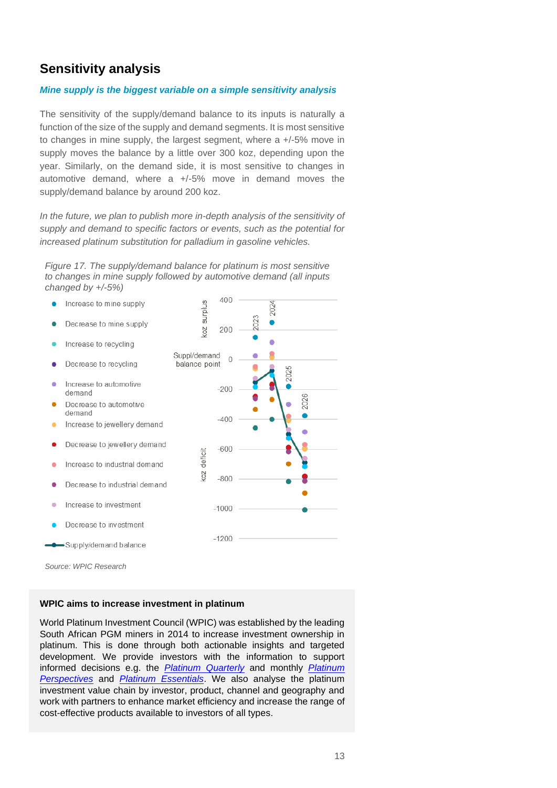# **Sensitivity analysis**

#### *Mine supply is the biggest variable on a simple sensitivity analysis*

The sensitivity of the supply/demand balance to its inputs is naturally a function of the size of the supply and demand segments. It is most sensitive to changes in mine supply, the largest segment, where a +/-5% move in supply moves the balance by a little over 300 koz, depending upon the year. Similarly, on the demand side, it is most sensitive to changes in automotive demand, where  $a +1.5%$  move in demand moves the supply/demand balance by around 200 koz.

In the future, we plan to publish more in-depth analysis of the sensitivity of *supply and demand to specific factors or events, such as the potential for increased platinum substitution for palladium in gasoline vehicles.*

*Figure 17. The supply/demand balance for platinum is most sensitive to changes in mine supply followed by automotive demand (all inputs changed by +/-5%)*



*Source: WPIC Research*

#### **WPIC aims to increase investment in platinum**

World Platinum Investment Council (WPIC) was established by the leading South African PGM miners in 2014 to increase investment ownership in platinum. This is done through both actionable insights and targeted development. We provide investors with the information to support informed decisions e.g. the *[Platinum Quarterly](https://platinuminvestment.com/supply-and-demand/platinum-quarterly)* and monthly *[Platinum](https://platinuminvestment.com/investment-research/perspectives)  [Perspectives](https://platinuminvestment.com/investment-research/perspectives)* and *[Platinum Essentials](https://platinuminvestment.com/investment-research)*. We also analyse the platinum investment value chain by investor, product, channel and geography and work with partners to enhance market efficiency and increase the range of cost-effective products available to investors of all types.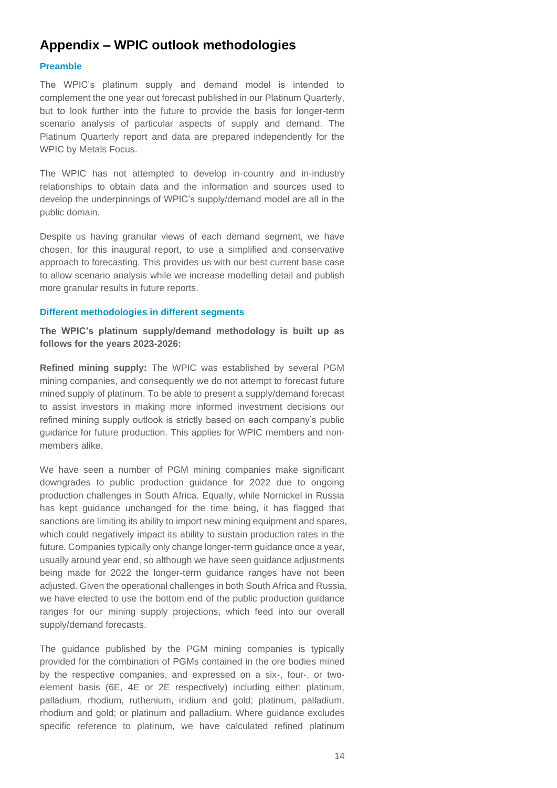# **Appendix – WPIC outlook methodologies**

#### **Preamble**

The WPIC's platinum supply and demand model is intended to complement the one year out forecast published in our Platinum Quarterly, but to look further into the future to provide the basis for longer-term scenario analysis of particular aspects of supply and demand. The Platinum Quarterly report and data are prepared independently for the WPIC by Metals Focus.

The WPIC has not attempted to develop in-country and in-industry relationships to obtain data and the information and sources used to develop the underpinnings of WPIC's supply/demand model are all in the public domain.

Despite us having granular views of each demand segment, we have chosen, for this inaugural report, to use a simplified and conservative approach to forecasting. This provides us with our best current base case to allow scenario analysis while we increase modelling detail and publish more granular results in future reports.

#### **Different methodologies in different segments**

**The WPIC's platinum supply/demand methodology is built up as follows for the years 2023-2026:**

**Refined mining supply:** The WPIC was established by several PGM mining companies, and consequently we do not attempt to forecast future mined supply of platinum. To be able to present a supply/demand forecast to assist investors in making more informed investment decisions our refined mining supply outlook is strictly based on each company's public guidance for future production. This applies for WPIC members and nonmembers alike.

We have seen a number of PGM mining companies make significant downgrades to public production guidance for 2022 due to ongoing production challenges in South Africa. Equally, while Nornickel in Russia has kept guidance unchanged for the time being, it has flagged that sanctions are limiting its ability to import new mining equipment and spares, which could negatively impact its ability to sustain production rates in the future. Companies typically only change longer-term guidance once a year, usually around year end, so although we have seen guidance adjustments being made for 2022 the longer-term guidance ranges have not been adjusted. Given the operational challenges in both South Africa and Russia, we have elected to use the bottom end of the public production guidance ranges for our mining supply projections, which feed into our overall supply/demand forecasts.

The guidance published by the PGM mining companies is typically provided for the combination of PGMs contained in the ore bodies mined by the respective companies, and expressed on a six-, four-, or twoelement basis (6E, 4E or 2E respectively) including either: platinum, palladium, rhodium, ruthenium, iridium and gold; platinum, palladium, rhodium and gold; or platinum and palladium. Where guidance excludes specific reference to platinum, we have calculated refined platinum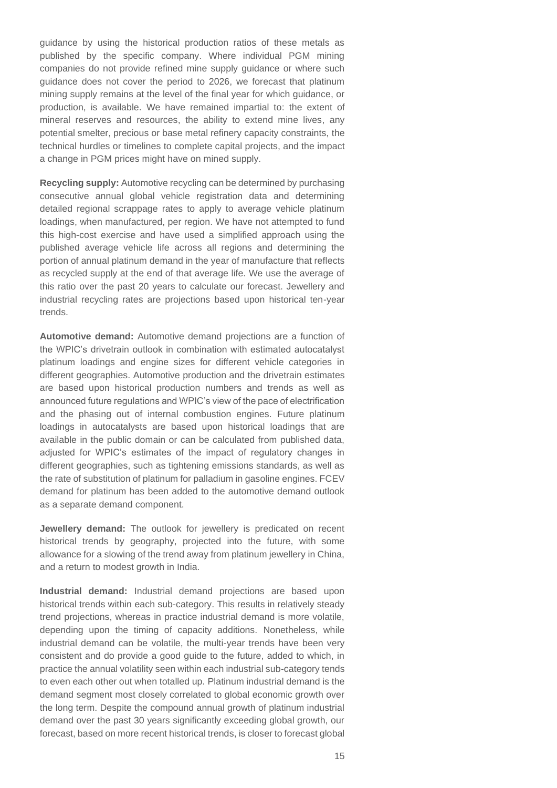guidance by using the historical production ratios of these metals as published by the specific company. Where individual PGM mining companies do not provide refined mine supply guidance or where such guidance does not cover the period to 2026, we forecast that platinum mining supply remains at the level of the final year for which guidance, or production, is available. We have remained impartial to: the extent of mineral reserves and resources, the ability to extend mine lives, any potential smelter, precious or base metal refinery capacity constraints, the technical hurdles or timelines to complete capital projects, and the impact a change in PGM prices might have on mined supply.

**Recycling supply:** Automotive recycling can be determined by purchasing consecutive annual global vehicle registration data and determining detailed regional scrappage rates to apply to average vehicle platinum loadings, when manufactured, per region. We have not attempted to fund this high-cost exercise and have used a simplified approach using the published average vehicle life across all regions and determining the portion of annual platinum demand in the year of manufacture that reflects as recycled supply at the end of that average life. We use the average of this ratio over the past 20 years to calculate our forecast. Jewellery and industrial recycling rates are projections based upon historical ten-year trends.

**Automotive demand:** Automotive demand projections are a function of the WPIC's drivetrain outlook in combination with estimated autocatalyst platinum loadings and engine sizes for different vehicle categories in different geographies. Automotive production and the drivetrain estimates are based upon historical production numbers and trends as well as announced future regulations and WPIC's view of the pace of electrification and the phasing out of internal combustion engines. Future platinum loadings in autocatalysts are based upon historical loadings that are available in the public domain or can be calculated from published data, adjusted for WPIC's estimates of the impact of regulatory changes in different geographies, such as tightening emissions standards, as well as the rate of substitution of platinum for palladium in gasoline engines. FCEV demand for platinum has been added to the automotive demand outlook as a separate demand component.

**Jewellery demand:** The outlook for jewellery is predicated on recent historical trends by geography, projected into the future, with some allowance for a slowing of the trend away from platinum jewellery in China, and a return to modest growth in India.

**Industrial demand:** Industrial demand projections are based upon historical trends within each sub-category. This results in relatively steady trend projections, whereas in practice industrial demand is more volatile, depending upon the timing of capacity additions. Nonetheless, while industrial demand can be volatile, the multi-year trends have been very consistent and do provide a good guide to the future, added to which, in practice the annual volatility seen within each industrial sub-category tends to even each other out when totalled up. Platinum industrial demand is the demand segment most closely correlated to global economic growth over the long term. Despite the compound annual growth of platinum industrial demand over the past 30 years significantly exceeding global growth, our forecast, based on more recent historical trends, is closer to forecast global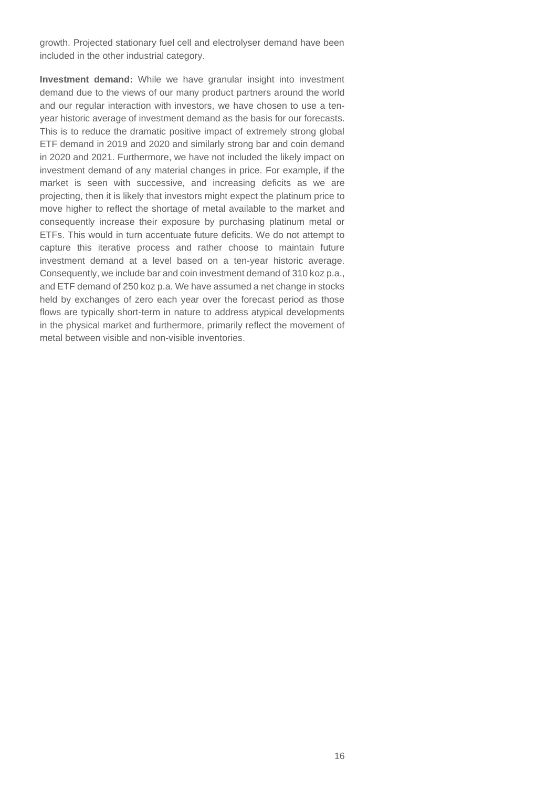growth. Projected stationary fuel cell and electrolyser demand have been included in the other industrial category.

**Investment demand:** While we have granular insight into investment demand due to the views of our many product partners around the world and our regular interaction with investors, we have chosen to use a tenyear historic average of investment demand as the basis for our forecasts. This is to reduce the dramatic positive impact of extremely strong global ETF demand in 2019 and 2020 and similarly strong bar and coin demand in 2020 and 2021. Furthermore, we have not included the likely impact on investment demand of any material changes in price. For example, if the market is seen with successive, and increasing deficits as we are projecting, then it is likely that investors might expect the platinum price to move higher to reflect the shortage of metal available to the market and consequently increase their exposure by purchasing platinum metal or ETFs. This would in turn accentuate future deficits. We do not attempt to capture this iterative process and rather choose to maintain future investment demand at a level based on a ten-year historic average. Consequently, we include bar and coin investment demand of 310 koz p.a., and ETF demand of 250 koz p.a. We have assumed a net change in stocks held by exchanges of zero each year over the forecast period as those flows are typically short-term in nature to address atypical developments in the physical market and furthermore, primarily reflect the movement of metal between visible and non-visible inventories.